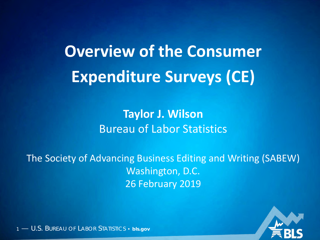# **Overview of the Consumer Expenditure Surveys (CE)**

#### **Taylor J. Wilson** Bureau of Labor Statistics

The Society of Advancing Business Editing and Writing (SABEW) Washington, D.C. 26 February 2019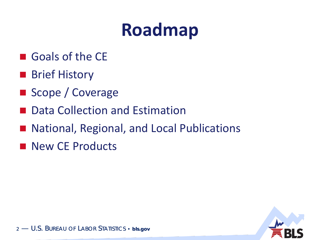- Goals of the CE
- **Brief History**
- Scope / Coverage
- Data Collection and Estimation
- National, Regional, and Local Publications
- New CE Products

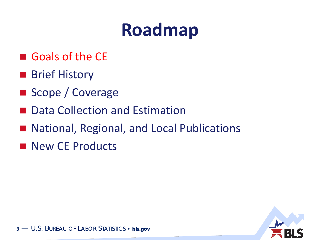- Goals of the CE
- **Brief History**
- Scope / Coverage
- Data Collection and Estimation
- National, Regional, and Local Publications
- New CE Products

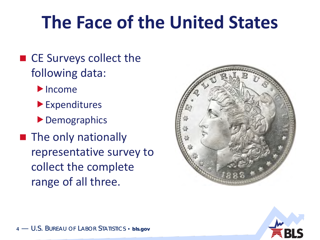## **The Face of the United States**

- CE Surveys collect the following data:
	- $\blacktriangleright$  Income
	- Expenditures
	- ▶ Demographics
- **The only nationally** representative survey to collect the complete range of all three.



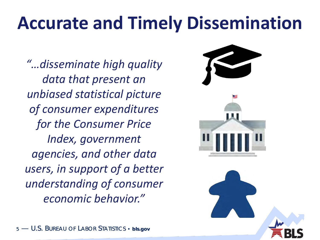## **Accurate and Timely Dissemination**

*"…disseminate high quality data that present an unbiased statistical picture of consumer expenditures for the Consumer Price Index, government agencies, and other data users, in support of a better understanding of consumer economic behavior."*

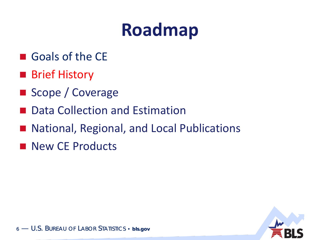- Goals of the CE
- **Brief History**
- Scope / Coverage
- Data Collection and Estimation
- National, Regional, and Local Publications
- New CE Products

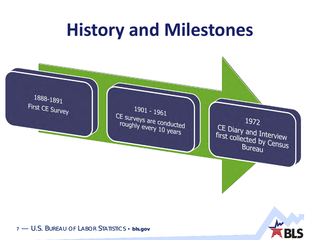### **History and Milestones**

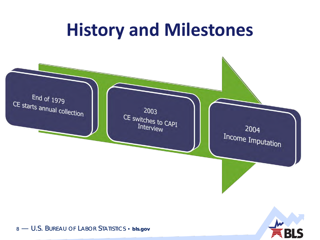### **History and Milestones**

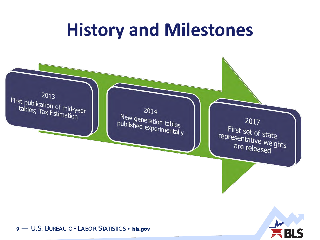### **History and Milestones**

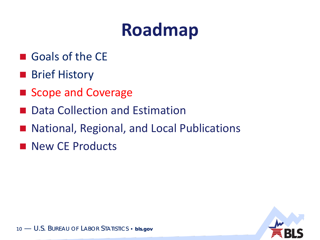- Goals of the CE
- **Brief History**
- Scope and Coverage
- Data Collection and Estimation
- National, Regional, and Local Publications
- New CE Products

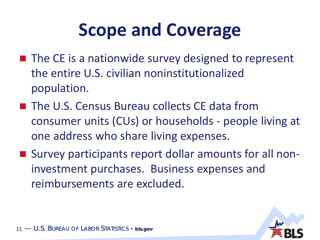## **Scope and Coverage**

- $\blacksquare$  The CE is a nationwide survey designed to represent the entire U.S. civilian noninstitutionalized population.
- The U.S. Census Bureau collects CE data from consumer units (CUs) or households - people living at one address who share living expenses.
- Survey participants report dollar amounts for all noninvestment purchases. Business expenses and reimbursements are excluded.

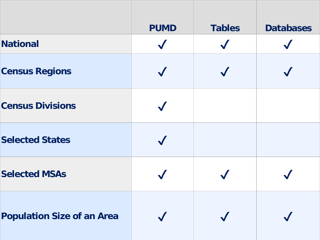|                            | <b>PUMD</b> | Tables | Databases |
|----------------------------|-------------|--------|-----------|
| National                   |             |        |           |
| <b>Census Regions</b>      |             |        |           |
| <b>Census Divisions</b>    |             |        |           |
| <b>Selected States</b>     |             |        |           |
| <b>Selected MSAs</b>       |             |        |           |
| Population Size of an Area |             |        |           |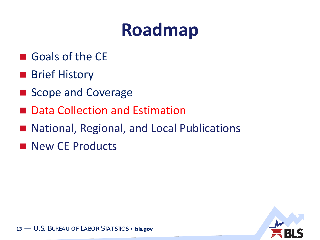- Goals of the CE
- **Brief History**
- Scope and Coverage
- Data Collection and Estimation
- National, Regional, and Local Publications
- New CE Products

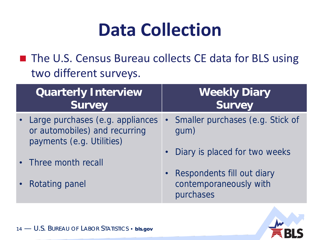### **Data Collection**

■ The U.S. Census Bureau collects CE data for BLS using two different surveys.

| Quarterly Interview<br>Survey                                                                    | <b>Weekly Diary</b><br>Survey                                       |
|--------------------------------------------------------------------------------------------------|---------------------------------------------------------------------|
| • Large purchases (e.g. appliances<br>or automobiles) and recurring<br>payments (e.g. Utilities) | Smaller purchases (e.g. Stick of<br>gum)                            |
| • Three month recall                                                                             | • Diary is placed for two weeks                                     |
| • Rotating panel                                                                                 | • Respondents fill out diary<br>contemporaneously with<br>purchases |

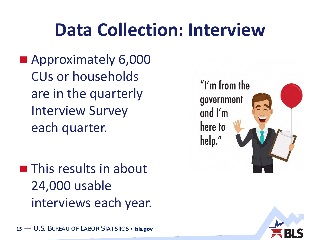### **Data Collection: Interview**

**Approximately 6,000** CUs or households are in the quarterly Interview Survey each quarter.

**This results in about** 24,000 usable interviews each year.



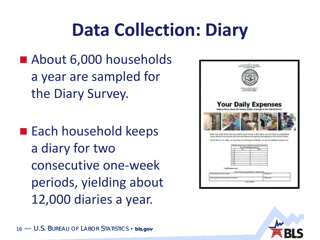## **Data Collection: Diary**

- About 6,000 households a year are sampled for the Diary Survey.
- Each household keeps a diary for two consecutive one-week periods, yielding about 12,000 diaries a year.



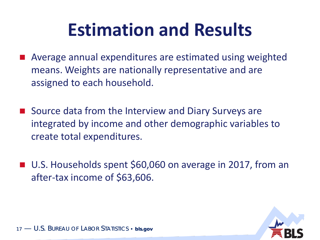## **Estimation and Results**

- Average annual expenditures are estimated using weighted means. Weights are nationally representative and are assigned to each household.
- Source data from the Interview and Diary Surveys are integrated by income and other demographic variables to create total expenditures.
- U.S. Households spent \$60,060 on average in 2017, from an after-tax income of \$63,606.

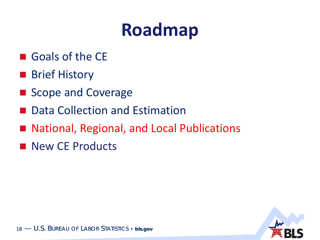- Goals of the CE
- **Brief History**
- Scope and Coverage
- Data Collection and Estimation
- National, Regional, and Local Publications
- New CE Products

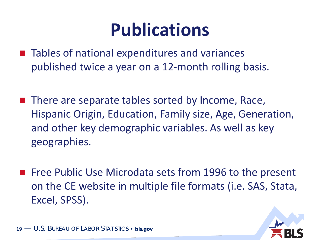#### **Publications**

- Tables of national expenditures and variances published twice a year on a 12-month rolling basis.
- There are separate tables sorted by Income, Race, Hispanic Origin, Education, Family size, Age, Generation, and other key demographic variables. As well as key geographies.
- **Figure 20 Free Public Use Microdata sets from 1996 to the present** on the CE website in multiple file formats (i.e. SAS, Stata, Excel, SPSS).

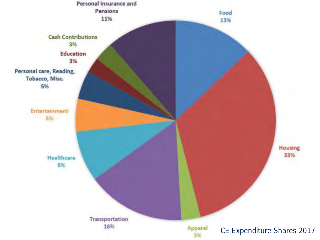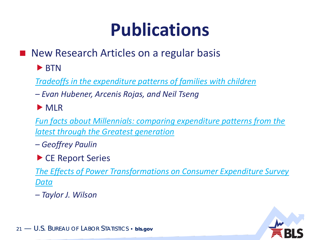## **Publications**

- New Research Articles on a regular basis
	- $\blacktriangleright$  BTN
	- *[Tradeoffs in the expenditure patterns of families with children](https://www.bls.gov/opub/btn/volume-7/pdf/tradeoffs-in-the-expenditure-patterns-of-families-with-children.pdf)*
	- *– Evan Hubener, Arcenis Rojas, and Neil Tseng*
	- MLR

*[Fun facts about Millennials: comparing expenditure patterns from the](https://www.bls.gov/opub/mlr/2018/article/pdf/fun-facts-about-millennials.pdf)  latest through the Greatest generation*

- *– Geoffrey Paulin*
- ▶ CE Report Series

*[The Effects of Power Transformations on Consumer Expenditure Survey](https://www.bls.gov/cex/research_papers/pdf/power-transformations-in-ce.pdf) Data* 

*– Taylor J. Wilson*

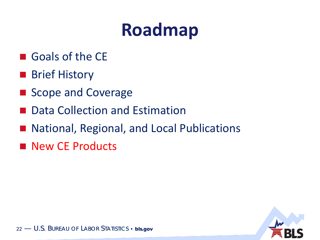- Goals of the CE
- **Brief History**
- Scope and Coverage
- Data Collection and Estimation
- National, Regional, and Local Publications
- New CE Products

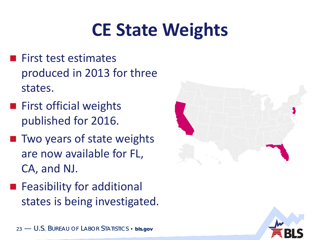## **CE State Weights**

- $\blacksquare$  First test estimates produced in 2013 for three states.
- $\blacksquare$  First official weights published for 2016.
- **Theory in Two years of state weights** are now available for FL, CA, and NJ.
- **Feasibility for additional** states is being investigated.



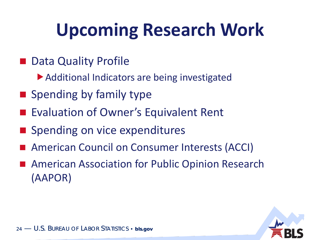# **Upcoming Research Work**

- Data Quality Profile
	- ▶ Additional Indicators are being investigated
- $\blacksquare$  Spending by family type
- Evaluation of Owner's Equivalent Rent
- Spending on vice expenditures
- American Council on Consumer Interests (ACCI)
- American Association for Public Opinion Research (AAPOR)

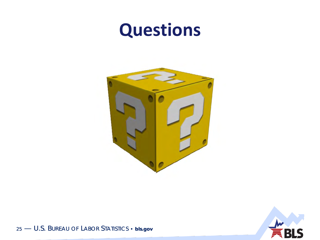#### Questions





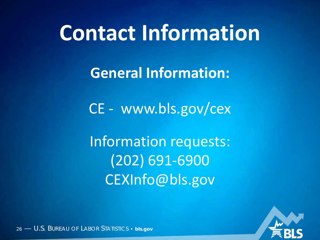# **Contact Information**

**General Information:** 

CE - www.bls.gov/cex

Information requests:  $(202) 691 - 6900$ CEXInfo@bls.gov